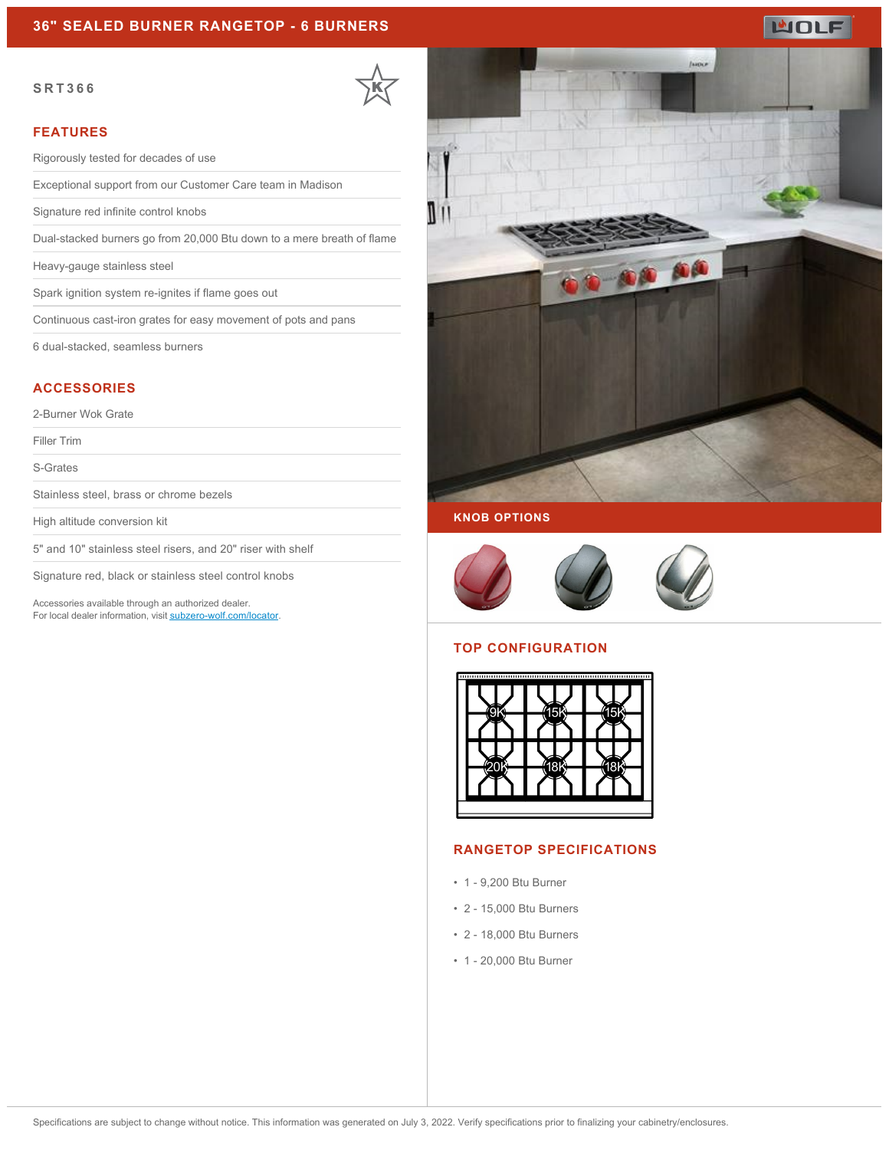# **WOLF**

#### **SRT366**



#### **FEATURES**

Rigorously tested for decades of use

Exceptional support from our Customer Care team in Madison

Signature red infinite control knobs

Dual-stacked burners go from 20,000 Btu down to a mere breath of flame

Heavy-gauge stainless steel

Spark ignition system re-ignites if flame goes out

Continuous cast-iron grates for easy movement of pots and pans

6 dual-stacked, seamless burners

# **ACCESSORIES**

2-Burner Wok Grate

Filler Trim

S-Grates

Stainless steel, brass or chrome bezels

High altitude conversion kit

5" and 10" stainless steel risers, and 20" riser with shelf

Signature red, black or stainless steel control knobs

Accessories available through an authorized dealer. For local dealer information, visit [subzero-wolf.com/locator.](http://www.subzero-wolf.com/locator)



# **KNOB OPTIONS**



# **TOP CONFIGURATION**



### **RANGETOP SPECIFICATIONS**

- 1 9,200 Btu Burner
- 2 15,000 Btu Burners
- 2 18,000 Btu Burners
- 1 20,000 Btu Burner